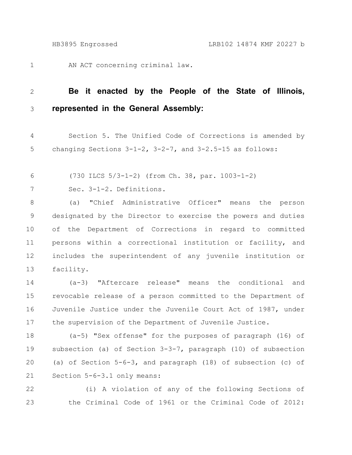AN ACT concerning criminal law. 1

## **Be it enacted by the People of the State of Illinois, represented in the General Assembly:** 2 3

Section 5. The Unified Code of Corrections is amended by changing Sections  $3-1-2$ ,  $3-2-7$ , and  $3-2.5-15$  as follows: 4 5

(730 ILCS 5/3-1-2) (from Ch. 38, par. 1003-1-2) 6

Sec. 3-1-2. Definitions. 7

(a) "Chief Administrative Officer" means the person designated by the Director to exercise the powers and duties of the Department of Corrections in regard to committed persons within a correctional institution or facility, and includes the superintendent of any juvenile institution or facility. 8 9 10 11 12 13

(a-3) "Aftercare release" means the conditional and revocable release of a person committed to the Department of Juvenile Justice under the Juvenile Court Act of 1987, under the supervision of the Department of Juvenile Justice. 14 15 16 17

(a-5) "Sex offense" for the purposes of paragraph (16) of subsection (a) of Section 3-3-7, paragraph (10) of subsection (a) of Section 5-6-3, and paragraph (18) of subsection (c) of Section 5-6-3.1 only means: 18 19 20 21

(i) A violation of any of the following Sections of the Criminal Code of 1961 or the Criminal Code of 2012: 22 23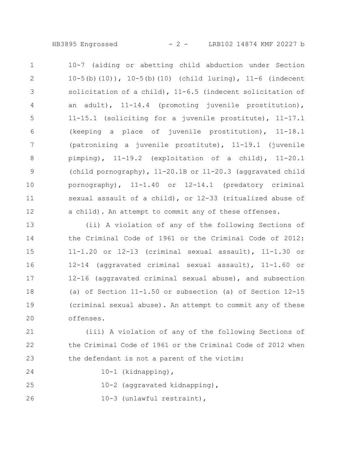HB3895 Engrossed - 2 - LRB102 14874 KMF 20227 b

10-7 (aiding or abetting child abduction under Section 10-5(b)(10)), 10-5(b)(10) (child luring), 11-6 (indecent solicitation of a child), 11-6.5 (indecent solicitation of an adult), 11-14.4 (promoting juvenile prostitution), 11-15.1 (soliciting for a juvenile prostitute), 11-17.1 (keeping a place of juvenile prostitution), 11-18.1 (patronizing a juvenile prostitute), 11-19.1 (juvenile pimping), 11-19.2 (exploitation of a child), 11-20.1 (child pornography), 11-20.1B or 11-20.3 (aggravated child pornography), 11-1.40 or 12-14.1 (predatory criminal sexual assault of a child), or 12-33 (ritualized abuse of a child). An attempt to commit any of these offenses. 1 2 3 4 5 6 7 8 9 10 11 12

(ii) A violation of any of the following Sections of the Criminal Code of 1961 or the Criminal Code of 2012: 11-1.20 or 12-13 (criminal sexual assault), 11-1.30 or 12-14 (aggravated criminal sexual assault), 11-1.60 or 12-16 (aggravated criminal sexual abuse), and subsection (a) of Section 11-1.50 or subsection (a) of Section 12-15 (criminal sexual abuse). An attempt to commit any of these offenses. 13 14 15 16 17 18 19 20

(iii) A violation of any of the following Sections of the Criminal Code of 1961 or the Criminal Code of 2012 when the defendant is not a parent of the victim: 21 22 23

10-1 (kidnapping),

24

10-2 (aggravated kidnapping), 25

10-3 (unlawful restraint), 26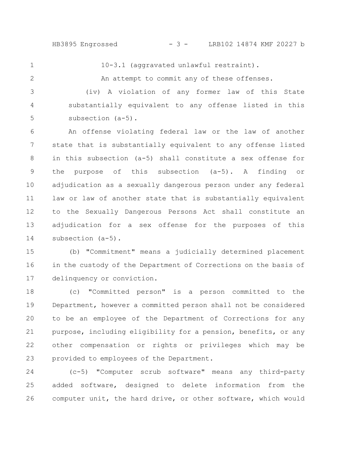1

2

10-3.1 (aggravated unlawful restraint).

An attempt to commit any of these offenses.

(iv) A violation of any former law of this State substantially equivalent to any offense listed in this subsection (a-5). 3 4 5

An offense violating federal law or the law of another state that is substantially equivalent to any offense listed in this subsection (a-5) shall constitute a sex offense for the purpose of this subsection (a-5). A finding or adjudication as a sexually dangerous person under any federal law or law of another state that is substantially equivalent to the Sexually Dangerous Persons Act shall constitute an adjudication for a sex offense for the purposes of this subsection (a-5). 6 7 8 9 10 11 12 13 14

(b) "Commitment" means a judicially determined placement in the custody of the Department of Corrections on the basis of delinquency or conviction. 15 16 17

(c) "Committed person" is a person committed to the Department, however a committed person shall not be considered to be an employee of the Department of Corrections for any purpose, including eligibility for a pension, benefits, or any other compensation or rights or privileges which may be provided to employees of the Department. 18 19 20 21 22 23

(c-5) "Computer scrub software" means any third-party added software, designed to delete information from the computer unit, the hard drive, or other software, which would 24 25 26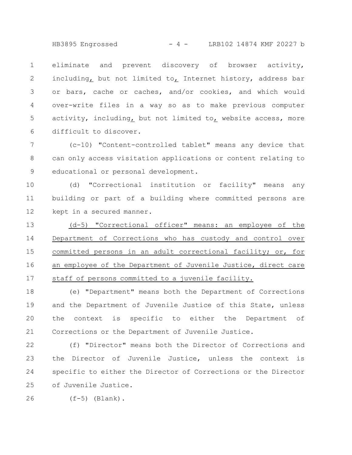HB3895 Engrossed - 4 - LRB102 14874 KMF 20227 b

eliminate and prevent discovery of browser activity, including, but not limited to, Internet history, address bar or bars, cache or caches, and/or cookies, and which would over-write files in a way so as to make previous computer activity, including, but not limited to, website access, more difficult to discover. 1 2 3 4 5 6

(c-10) "Content-controlled tablet" means any device that can only access visitation applications or content relating to educational or personal development. 7 8 9

(d) "Correctional institution or facility" means any building or part of a building where committed persons are kept in a secured manner. 10 11 12

(d-5) "Correctional officer" means: an employee of the Department of Corrections who has custody and control over committed persons in an adult correctional facility; or, for an employee of the Department of Juvenile Justice, direct care staff of persons committed to a juvenile facility. 13 14 15 16 17

(e) "Department" means both the Department of Corrections and the Department of Juvenile Justice of this State, unless the context is specific to either the Department of Corrections or the Department of Juvenile Justice. 18 19 20 21

(f) "Director" means both the Director of Corrections and the Director of Juvenile Justice, unless the context is specific to either the Director of Corrections or the Director of Juvenile Justice. 22 23 24 25

 $(f-5)$  (Blank). 26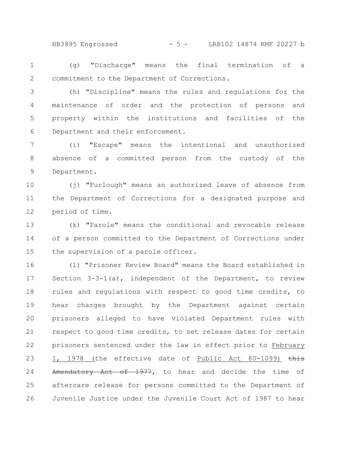HB3895 Engrossed - 5 - LRB102 14874 KMF 20227 b

(g) "Discharge" means the final termination of a commitment to the Department of Corrections. 1 2

(h) "Discipline" means the rules and regulations for the maintenance of order and the protection of persons and property within the institutions and facilities of the Department and their enforcement. 3 4 5 6

(i) "Escape" means the intentional and unauthorized absence of a committed person from the custody of the Department. 7 8 9

(j) "Furlough" means an authorized leave of absence from the Department of Corrections for a designated purpose and period of time. 10 11 12

(k) "Parole" means the conditional and revocable release of a person committed to the Department of Corrections under the supervision of a parole officer. 13 14 15

(l) "Prisoner Review Board" means the Board established in Section 3-3-1(a), independent of the Department, to review rules and regulations with respect to good time credits, to hear charges brought by the Department against certain prisoners alleged to have violated Department rules with respect to good time credits, to set release dates for certain prisoners sentenced under the law in effect prior to February 1, 1978 (the effective date of Public Act 80-1099) this Amendatory Act of 1977, to hear and decide the time of aftercare release for persons committed to the Department of Juvenile Justice under the Juvenile Court Act of 1987 to hear 16 17 18 19 20 21 22 23 24 25 26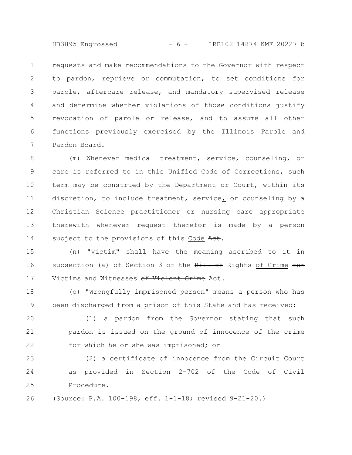HB3895 Engrossed - 6 - LRB102 14874 KMF 20227 b

requests and make recommendations to the Governor with respect to pardon, reprieve or commutation, to set conditions for parole, aftercare release, and mandatory supervised release and determine whether violations of those conditions justify revocation of parole or release, and to assume all other functions previously exercised by the Illinois Parole and Pardon Board. 1 2 3 4 5 6 7

(m) Whenever medical treatment, service, counseling, or care is referred to in this Unified Code of Corrections, such term may be construed by the Department or Court, within its discretion, to include treatment, service, or counseling by a Christian Science practitioner or nursing care appropriate therewith whenever request therefor is made by a person subject to the provisions of this Code Act. 8 9 10 11 12 13 14

(n) "Victim" shall have the meaning ascribed to it in subsection (a) of Section 3 of the Bill of Rights of Crime for Victims and Witnesses of Violent Crime Act. 15 16 17

(o) "Wrongfully imprisoned person" means a person who has been discharged from a prison of this State and has received: 18 19

(1) a pardon from the Governor stating that such pardon is issued on the ground of innocence of the crime for which he or she was imprisoned; or 20 21 22

(2) a certificate of innocence from the Circuit Court as provided in Section 2-702 of the Code of Civil Procedure. 23 24 25

(Source: P.A. 100-198, eff. 1-1-18; revised 9-21-20.) 26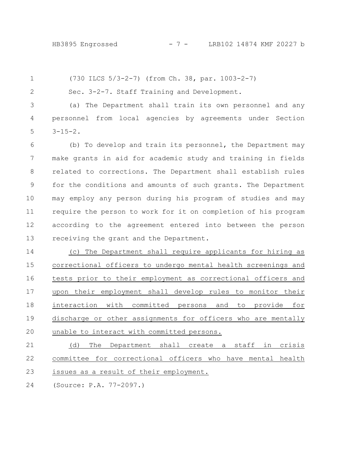(730 ILCS 5/3-2-7) (from Ch. 38, par. 1003-2-7) 1

2

Sec. 3-2-7. Staff Training and Development.

(a) The Department shall train its own personnel and any personnel from local agencies by agreements under Section  $3 - 15 - 2$ . 3 4 5

(b) To develop and train its personnel, the Department may make grants in aid for academic study and training in fields related to corrections. The Department shall establish rules for the conditions and amounts of such grants. The Department may employ any person during his program of studies and may require the person to work for it on completion of his program according to the agreement entered into between the person receiving the grant and the Department. 6 7 8 9 10 11 12 13

(c) The Department shall require applicants for hiring as correctional officers to undergo mental health screenings and tests prior to their employment as correctional officers and upon their employment shall develop rules to monitor their interaction with committed persons and to provide for discharge or other assignments for officers who are mentally unable to interact with committed persons. 14 15 16 17 18 19 20

(d) The Department shall create a staff in crisis committee for correctional officers who have mental health issues as a result of their employment. 21 22 23

(Source: P.A. 77-2097.) 24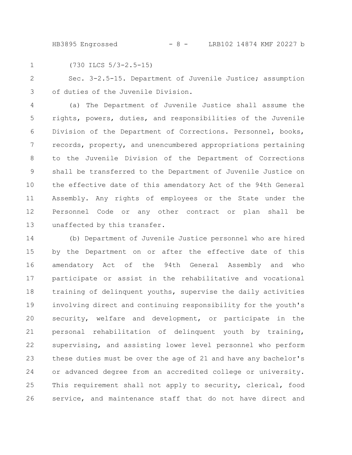HB3895 Engrossed - 8 - LRB102 14874 KMF 20227 b

1

(730 ILCS 5/3-2.5-15)

Sec. 3-2.5-15. Department of Juvenile Justice; assumption of duties of the Juvenile Division. 2 3

(a) The Department of Juvenile Justice shall assume the rights, powers, duties, and responsibilities of the Juvenile Division of the Department of Corrections. Personnel, books, records, property, and unencumbered appropriations pertaining to the Juvenile Division of the Department of Corrections shall be transferred to the Department of Juvenile Justice on the effective date of this amendatory Act of the 94th General Assembly. Any rights of employees or the State under the Personnel Code or any other contract or plan shall be unaffected by this transfer. 4 5 6 7 8 9 10 11 12 13

(b) Department of Juvenile Justice personnel who are hired by the Department on or after the effective date of this amendatory Act of the 94th General Assembly and who participate or assist in the rehabilitative and vocational training of delinquent youths, supervise the daily activities involving direct and continuing responsibility for the youth's security, welfare and development, or participate in the personal rehabilitation of delinquent youth by training, supervising, and assisting lower level personnel who perform these duties must be over the age of 21 and have any bachelor's or advanced degree from an accredited college or university. This requirement shall not apply to security, clerical, food service, and maintenance staff that do not have direct and 14 15 16 17 18 19 20 21 22 23 24 25 26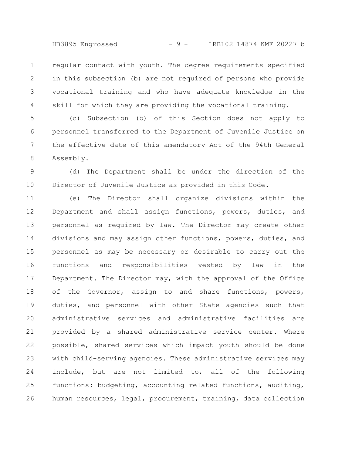HB3895 Engrossed - 9 - LRB102 14874 KMF 20227 b

regular contact with youth. The degree requirements specified in this subsection (b) are not required of persons who provide vocational training and who have adequate knowledge in the skill for which they are providing the vocational training. 1 2 3 4

(c) Subsection (b) of this Section does not apply to personnel transferred to the Department of Juvenile Justice on the effective date of this amendatory Act of the 94th General Assembly. 5 6 7 8

(d) The Department shall be under the direction of the Director of Juvenile Justice as provided in this Code. 9 10

(e) The Director shall organize divisions within the Department and shall assign functions, powers, duties, and personnel as required by law. The Director may create other divisions and may assign other functions, powers, duties, and personnel as may be necessary or desirable to carry out the functions and responsibilities vested by law in the Department. The Director may, with the approval of the Office of the Governor, assign to and share functions, powers, duties, and personnel with other State agencies such that administrative services and administrative facilities are provided by a shared administrative service center. Where possible, shared services which impact youth should be done with child-serving agencies. These administrative services may include, but are not limited to, all of the following functions: budgeting, accounting related functions, auditing, human resources, legal, procurement, training, data collection 11 12 13 14 15 16 17 18 19 20 21 22 23 24 25 26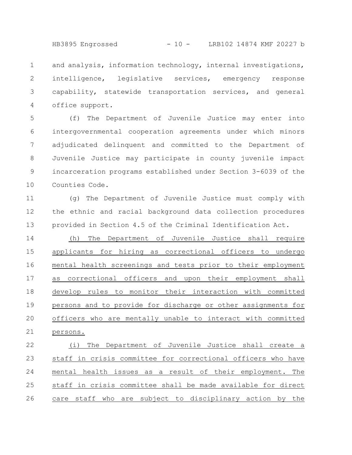HB3895 Engrossed - 10 - LRB102 14874 KMF 20227 b

and analysis, information technology, internal investigations, intelligence, legislative services, emergency response capability, statewide transportation services, and general office support. 1 2 3 4

(f) The Department of Juvenile Justice may enter into intergovernmental cooperation agreements under which minors adjudicated delinquent and committed to the Department of Juvenile Justice may participate in county juvenile impact incarceration programs established under Section 3-6039 of the Counties Code. 5 6 7 8 9 10

(g) The Department of Juvenile Justice must comply with the ethnic and racial background data collection procedures provided in Section 4.5 of the Criminal Identification Act. 11 12 13

(h) The Department of Juvenile Justice shall require applicants for hiring as correctional officers to undergo mental health screenings and tests prior to their employment as correctional officers and upon their employment shall develop rules to monitor their interaction with committed persons and to provide for discharge or other assignments for officers who are mentally unable to interact with committed persons. 14 15 16 17 18 19 20 21

(i) The Department of Juvenile Justice shall create a staff in crisis committee for correctional officers who have mental health issues as a result of their employment. The staff in crisis committee shall be made available for direct care staff who are subject to disciplinary action by the 22 23 24 25 26